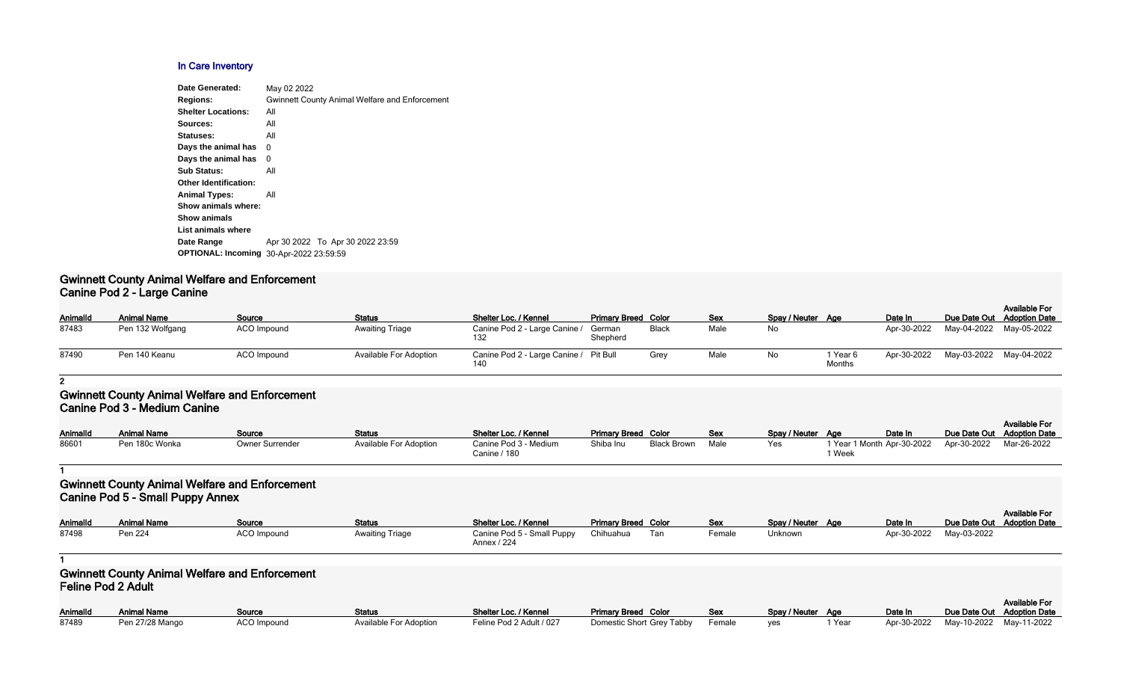#### **In Care Inventory**

| Date Generated:                                | May 02 2022                                           |
|------------------------------------------------|-------------------------------------------------------|
| <b>Regions:</b>                                | <b>Gwinnett County Animal Welfare and Enforcement</b> |
| <b>Shelter Locations:</b>                      | All                                                   |
| Sources:                                       | All                                                   |
| Statuses:                                      | All                                                   |
| Days the animal has                            | 0                                                     |
| Days the animal has                            | 0                                                     |
| <b>Sub Status:</b>                             | All                                                   |
| <b>Other Identification:</b>                   |                                                       |
| <b>Animal Types:</b>                           | All                                                   |
| Show animals where:                            |                                                       |
| <b>Show animals</b>                            |                                                       |
| List animals where                             |                                                       |
| Date Range                                     | Apr 30 2022 To Apr 30 2022 23:59                      |
| <b>OPTIONAL: Incoming 30-Apr-2022 23:59:59</b> |                                                       |
|                                                |                                                       |

#### **Gwinnett County Animal Welfare and Enforcement Canine Pod 2 - Large Canine**

| <b>AnimalId</b> | <b>Animal Name</b> | Source      | <b>Status</b>                 | Shelter Loc. / Kennel                         | <b>Primary Breed Color</b> |       | <b>Sex</b> | Spay / Neuter Age |                    | Date In     |                         | <b>Available For</b><br>Due Date Out Adoption Date |  |
|-----------------|--------------------|-------------|-------------------------------|-----------------------------------------------|----------------------------|-------|------------|-------------------|--------------------|-------------|-------------------------|----------------------------------------------------|--|
| 87483           | Pen 132 Wolfgang   | ACO Impound | <b>Awaiting Triage</b>        | Canine Pod 2 - Large Canine /                 | German<br>Shepherd         | Black | Male       | No                |                    | Apr-30-2022 | May-04-2022 May-05-2022 |                                                    |  |
| 87490           | Pen 140 Keanu      | ACO Impound | <b>Available For Adoption</b> | Canine Pod 2 - Large Canine / Pit Bull<br>140 |                            | Grey  | Male       | No                | 1 Year 6<br>Months | Apr-30-2022 | May-03-2022 May-04-2022 |                                                    |  |

#### **2**

#### **Gwinnett County Animal Welfare and Enforcement Canine Pod 3 - Medium Canine**

| <b>AnimalId</b> | <b>Animal Name</b> | Source          | <b>Status</b>                 | Shelter Loc. / Kennel                 | <b>Primary Breed Color</b> |                    | <b>Sex</b> | Spay / Neuter Age |                   | Date In                    | Due Date Out Adoption Date | <b>Available For</b> |
|-----------------|--------------------|-----------------|-------------------------------|---------------------------------------|----------------------------|--------------------|------------|-------------------|-------------------|----------------------------|----------------------------|----------------------|
| 86601           | Pen 180c Wonka     | Owner Surrender | <b>Available For Adoption</b> | Canine Pod 3 - Medium<br>Canine / 180 | Shiba Inu                  | <b>Black Brown</b> | Male       | Yes               | <sup>1</sup> Week | 1 Year 1 Month Apr-30-2022 | Apr-30-2022                | Mar-26-2022          |

#### **1**

## **Gwinnett County Animal Welfare and Enforcement Canine Pod 5 - Small Puppy Annex**

|                 | $\sim$ 0.000 $\sim$ 0.000 $\sim$ 0.000 $\sim$ 0.000 $\sim$ 0.000 $\sim$ 0.000 $\sim$ 0.000 $\sim$ 0.000 $\sim$ 0.000 $\sim$ 0.000 $\sim$ 0.000 $\sim$ 0.000 $\sim$ 0.000 $\sim$ 0.000 $\sim$ 0.000 $\sim$ 0.000 $\sim$ 0.000 $\sim$ 0.000 $\sim$ 0.000 $\sim$ 0.000 |             |                 |                            |                            |     |            |                   |         |                            |                      |
|-----------------|---------------------------------------------------------------------------------------------------------------------------------------------------------------------------------------------------------------------------------------------------------------------|-------------|-----------------|----------------------------|----------------------------|-----|------------|-------------------|---------|----------------------------|----------------------|
|                 |                                                                                                                                                                                                                                                                     |             |                 |                            |                            |     |            |                   |         |                            | <b>Available For</b> |
| <b>AnimalId</b> | <b>Animal Name</b>                                                                                                                                                                                                                                                  | Source      | <b>Status</b>   | Shelter Loc. / Kennel      | <b>Primary Breed Color</b> |     | <b>Sex</b> | Spay / Neuter Age | Date In | Due Date Out Adoption Date |                      |
| 87498           | Pen 224                                                                                                                                                                                                                                                             | ACO Impound | Awaiting Triage | Canine Pod 5 - Small Puppy | Chihuahua                  | Tan | Female     | Unknown           |         | Apr-30-2022 May-03-2022    |                      |
|                 |                                                                                                                                                                                                                                                                     |             |                 | Annex / 224                |                            |     |            |                   |         |                            |                      |

#### **1**

### **Gwinnett County Animal Welfare and Enforcement Feline Pod 2 Adult**

| <b>AnimalId</b> | <b>Animal Name</b> | Source      | <b>Status</b>          | Shelter Loc. / Kennel    | <b>Primary Breed Color</b>           | Sex | Spay / Neuter Age |        | Date In                 | Due Date Out |
|-----------------|--------------------|-------------|------------------------|--------------------------|--------------------------------------|-----|-------------------|--------|-------------------------|--------------|
| 87489           | Pen 27/28 Mango    | ACO Impound | Available For Adoption | Feline Pod 2 Adult / 027 | Domestic Short Grey Tabby Female yes |     |                   | 1 Year | Apr-30-2022 May-10-2022 |              |

|            |        |                   |      |             |              | Available For        |
|------------|--------|-------------------|------|-------------|--------------|----------------------|
| Color      | Sex    | Spay / Neuter Age |      | Date In     | Due Date Out | <b>Adoption Date</b> |
| Grey Tabby | Female | ves               | Year | Apr-30-2022 | May-10-2022  | Mav-11-2022          |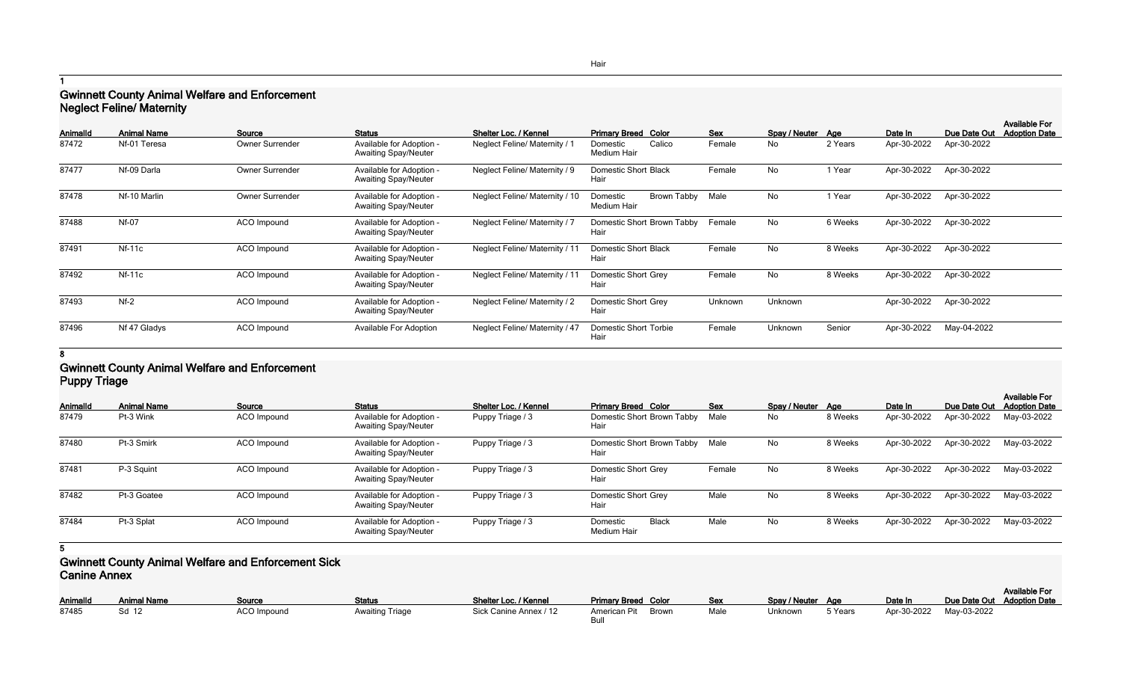**1**

# **Gwinnett County Animal Welfare and Enforcement Neglect Feline/ Maternity**

| Animalld | <b>Animal Name</b> | Source             | <b>Status</b>                                           | Shelter Loc. / Kennel                | <b>Primary Breed Color</b>             | <b>Sex</b> | Spay / Neuter Age |         | Date In     | Due Date Out | <b>Available For</b><br><b>Adoption Date</b> |
|----------|--------------------|--------------------|---------------------------------------------------------|--------------------------------------|----------------------------------------|------------|-------------------|---------|-------------|--------------|----------------------------------------------|
| 87472    | Nf-01 Teresa       | Owner Surrender    | Available for Adoption -<br><b>Awaiting Spay/Neuter</b> | <b>Neglect Feline/ Maternity / 1</b> | Calico<br>Domestic<br>Medium Hair      | Female     | No                | 2 Years | Apr-30-2022 | Apr-30-2022  |                                              |
| 87477    | Nf-09 Darla        | Owner Surrender    | Available for Adoption -<br><b>Awaiting Spay/Neuter</b> | Neglect Feline/ Maternity / 9        | <b>Domestic Short Black</b><br>Hair    | Female     | No                | 1 Year  | Apr-30-2022 | Apr-30-2022  |                                              |
| 87478    | Nf-10 Marlin       | Owner Surrender    | Available for Adoption -<br><b>Awaiting Spay/Neuter</b> | Neglect Feline/ Maternity / 10       | Brown Tabby<br>Domestic<br>Medium Hair | Male       | No                | 1 Year  | Apr-30-2022 | Apr-30-2022  |                                              |
| 87488    | <b>Nf-07</b>       | ACO Impound        | Available for Adoption -<br><b>Awaiting Spay/Neuter</b> | <b>Neglect Feline/ Maternity / 7</b> | Domestic Short Brown Tabby<br>Hair     | Female     | No                | 6 Weeks | Apr-30-2022 | Apr-30-2022  |                                              |
| 87491    | $Nf-11c$           | ACO Impound        | Available for Adoption -<br><b>Awaiting Spay/Neuter</b> | Neglect Feline/ Maternity / 11       | <b>Domestic Short Black</b><br>Hair    | Female     | No                | 8 Weeks | Apr-30-2022 | Apr-30-2022  |                                              |
| 87492    | $Nf-11c$           | ACO Impound        | Available for Adoption -<br><b>Awaiting Spay/Neuter</b> | Neglect Feline/ Maternity / 11       | Domestic Short Grey<br>Hair            | Female     | No                | 8 Weeks | Apr-30-2022 | Apr-30-2022  |                                              |
| 87493    | $Nf-2$             | <b>ACO</b> Impound | Available for Adoption -<br><b>Awaiting Spay/Neuter</b> | <b>Neglect Feline/ Maternity / 2</b> | Domestic Short Grey<br>Hair            | Unknown    | Unknown           |         | Apr-30-2022 | Apr-30-2022  |                                              |
| 87496    | Nf 47 Gladys       | ACO Impound        | Available For Adoption                                  | Neglect Feline/ Maternity / 47       | Domestic Short Torbie<br>Hair          | Female     | Unknown           | Senior  | Apr-30-2022 | May-04-2022  |                                              |

#### **8**

#### **Gwinnett County Animal Welfare and Enforcement Puppy Triage**

| <b>AnimalId</b> | <b>Animal Name</b> | Source             | <b>Status</b>                                           | Shelter Loc. / Kennel | <b>Primary Breed Color</b>                     | <b>Sex</b> | Spay / Neuter Age |         | Date In     | Due Date Out | <b>Available For</b><br><b>Adoption Date</b> |
|-----------------|--------------------|--------------------|---------------------------------------------------------|-----------------------|------------------------------------------------|------------|-------------------|---------|-------------|--------------|----------------------------------------------|
| 87479           | Pt-3 Wink          | <b>ACO</b> Impound | Available for Adoption -<br><b>Awaiting Spay/Neuter</b> | Puppy Triage / 3      | Domestic Short Brown Tabby<br>Hair             | Male       | No                | 8 Weeks | Apr-30-2022 | Apr-30-2022  | May-03-2022                                  |
| 87480           | Pt-3 Smirk         | <b>ACO</b> Impound | Available for Adoption -<br><b>Awaiting Spay/Neuter</b> | Puppy Triage / 3      | Domestic Short Brown Tabby Male<br>Hair        |            | No                | 8 Weeks | Apr-30-2022 | Apr-30-2022  | May-03-2022                                  |
| 87481           | P-3 Squint         | <b>ACO</b> Impound | Available for Adoption -<br><b>Awaiting Spay/Neuter</b> | Puppy Triage / 3      | <b>Domestic Short Grey</b><br>Hair             | Female     | No                | 8 Weeks | Apr-30-2022 | Apr-30-2022  | May-03-2022                                  |
| 87482           | Pt-3 Goatee        | <b>ACO</b> Impound | Available for Adoption -<br><b>Awaiting Spay/Neuter</b> | Puppy Triage / 3      | Domestic Short Grey<br>Hair                    | Male       | No                | 8 Weeks | Apr-30-2022 | Apr-30-2022  | May-03-2022                                  |
| 87484           | Pt-3 Splat         | <b>ACO</b> Impound | Available for Adoption -<br><b>Awaiting Spay/Neuter</b> | Puppy Triage / 3      | <b>Black</b><br>Domestic<br><b>Medium Hair</b> | Male       | No                | 8 Weeks | Apr-30-2022 | Apr-30-2022  | May-03-2022                                  |

**<sup>5</sup>**

## **Gwinnett County Animal Welfare and Enforcement Sick Canine Annex**

| <b>AnimalId</b> | <b>Animal Name</b> | Source             | <b>Status</b>          | Shelter Loc. / Kennel  | <b>Primary Breed Color</b> | <b>Sex</b> | Spay / Neuter Age |         | Date In     | Due Date Out |
|-----------------|--------------------|--------------------|------------------------|------------------------|----------------------------|------------|-------------------|---------|-------------|--------------|
| 87485           | Sd 12              | <b>ACO Impound</b> | <b>Awaiting Triage</b> | Sick Canine Annex / 12 | American Pit Brown<br>Bull | Male       | Unknown           | 5 Years | Apr-30-2022 | May-03-2022  |

| Color | Sex  | Spay / Neuter | Age     | Date In     | Due Date Out Adoption Date | <b>Available For</b> |
|-------|------|---------------|---------|-------------|----------------------------|----------------------|
|       |      |               |         |             |                            |                      |
| Brown | Male | Unknown       | 5 Years | Apr-30-2022 | Mav-03-2022                |                      |